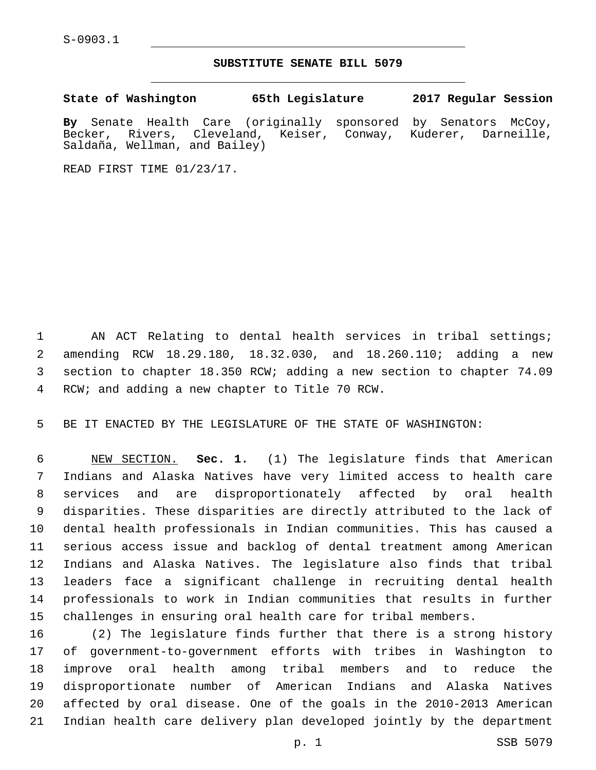S-0903.1

## **SUBSTITUTE SENATE BILL 5079**

**State of Washington 65th Legislature 2017 Regular Session**

**By** Senate Health Care (originally sponsored by Senators McCoy, Becker, Rivers, Cleveland, Keiser, Conway, Kuderer, Darneille, Saldaña, Wellman, and Bailey)

READ FIRST TIME 01/23/17.

1 AN ACT Relating to dental health services in tribal settings; amending RCW 18.29.180, 18.32.030, and 18.260.110; adding a new section to chapter 18.350 RCW; adding a new section to chapter 74.09 4 RCW; and adding a new chapter to Title 70 RCW.

BE IT ENACTED BY THE LEGISLATURE OF THE STATE OF WASHINGTON:

 NEW SECTION. **Sec. 1.** (1) The legislature finds that American Indians and Alaska Natives have very limited access to health care services and are disproportionately affected by oral health disparities. These disparities are directly attributed to the lack of dental health professionals in Indian communities. This has caused a serious access issue and backlog of dental treatment among American Indians and Alaska Natives. The legislature also finds that tribal leaders face a significant challenge in recruiting dental health professionals to work in Indian communities that results in further challenges in ensuring oral health care for tribal members.

 (2) The legislature finds further that there is a strong history of government-to-government efforts with tribes in Washington to improve oral health among tribal members and to reduce the disproportionate number of American Indians and Alaska Natives affected by oral disease. One of the goals in the 2010-2013 American Indian health care delivery plan developed jointly by the department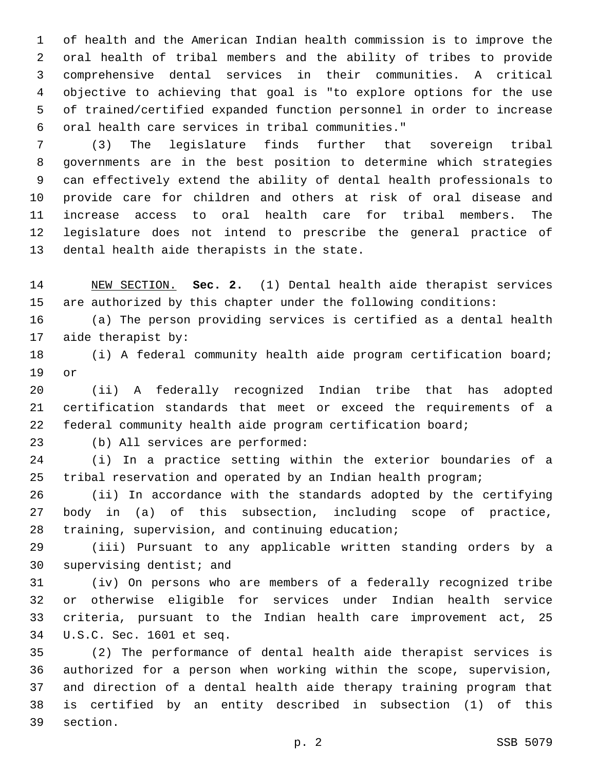of health and the American Indian health commission is to improve the oral health of tribal members and the ability of tribes to provide comprehensive dental services in their communities. A critical objective to achieving that goal is "to explore options for the use of trained/certified expanded function personnel in order to increase oral health care services in tribal communities."6

 (3) The legislature finds further that sovereign tribal governments are in the best position to determine which strategies can effectively extend the ability of dental health professionals to provide care for children and others at risk of oral disease and increase access to oral health care for tribal members. The legislature does not intend to prescribe the general practice of 13 dental health aide therapists in the state.

 NEW SECTION. **Sec. 2.** (1) Dental health aide therapist services are authorized by this chapter under the following conditions:

 (a) The person providing services is certified as a dental health 17 aide therapist by:

 (i) A federal community health aide program certification board; 19 or

 (ii) A federally recognized Indian tribe that has adopted certification standards that meet or exceed the requirements of a federal community health aide program certification board;

23 (b) All services are performed:

 (i) In a practice setting within the exterior boundaries of a tribal reservation and operated by an Indian health program;

 (ii) In accordance with the standards adopted by the certifying body in (a) of this subsection, including scope of practice, 28 training, supervision, and continuing education;

 (iii) Pursuant to any applicable written standing orders by a 30 supervising dentist; and

 (iv) On persons who are members of a federally recognized tribe or otherwise eligible for services under Indian health service criteria, pursuant to the Indian health care improvement act, 25 U.S.C. Sec. 1601 et seq.34

 (2) The performance of dental health aide therapist services is authorized for a person when working within the scope, supervision, and direction of a dental health aide therapy training program that is certified by an entity described in subsection (1) of this 39 section.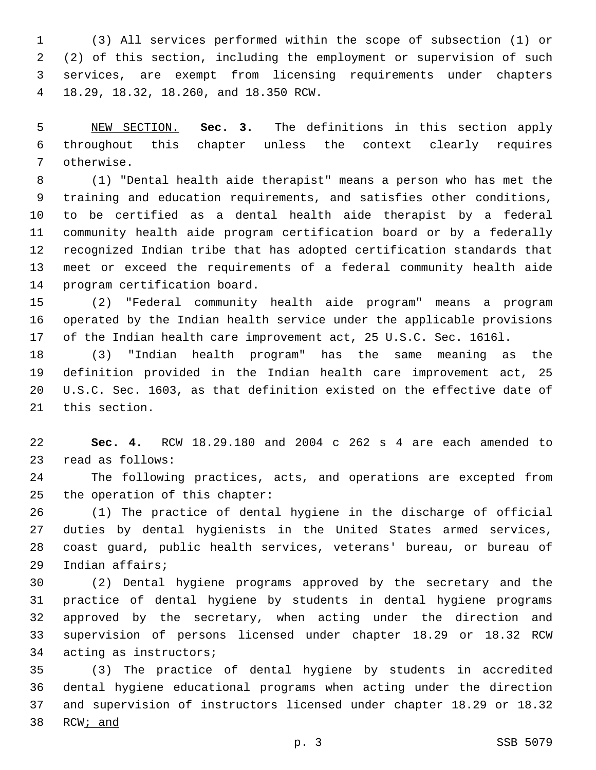(3) All services performed within the scope of subsection (1) or (2) of this section, including the employment or supervision of such services, are exempt from licensing requirements under chapters 18.29, 18.32, 18.260, and 18.350 RCW.4

 NEW SECTION. **Sec. 3.** The definitions in this section apply throughout this chapter unless the context clearly requires otherwise.

 (1) "Dental health aide therapist" means a person who has met the training and education requirements, and satisfies other conditions, to be certified as a dental health aide therapist by a federal community health aide program certification board or by a federally recognized Indian tribe that has adopted certification standards that meet or exceed the requirements of a federal community health aide 14 program certification board.

 (2) "Federal community health aide program" means a program operated by the Indian health service under the applicable provisions of the Indian health care improvement act, 25 U.S.C. Sec. 1616l.

 (3) "Indian health program" has the same meaning as the definition provided in the Indian health care improvement act, 25 U.S.C. Sec. 1603, as that definition existed on the effective date of 21 this section.

 **Sec. 4.** RCW 18.29.180 and 2004 c 262 s 4 are each amended to 23 read as follows:

 The following practices, acts, and operations are excepted from 25 the operation of this chapter:

 (1) The practice of dental hygiene in the discharge of official duties by dental hygienists in the United States armed services, coast guard, public health services, veterans' bureau, or bureau of 29 Indian affairs;

 (2) Dental hygiene programs approved by the secretary and the practice of dental hygiene by students in dental hygiene programs approved by the secretary, when acting under the direction and supervision of persons licensed under chapter 18.29 or 18.32 RCW 34 acting as instructors;

 (3) The practice of dental hygiene by students in accredited dental hygiene educational programs when acting under the direction and supervision of instructors licensed under chapter 18.29 or 18.32 RCW; and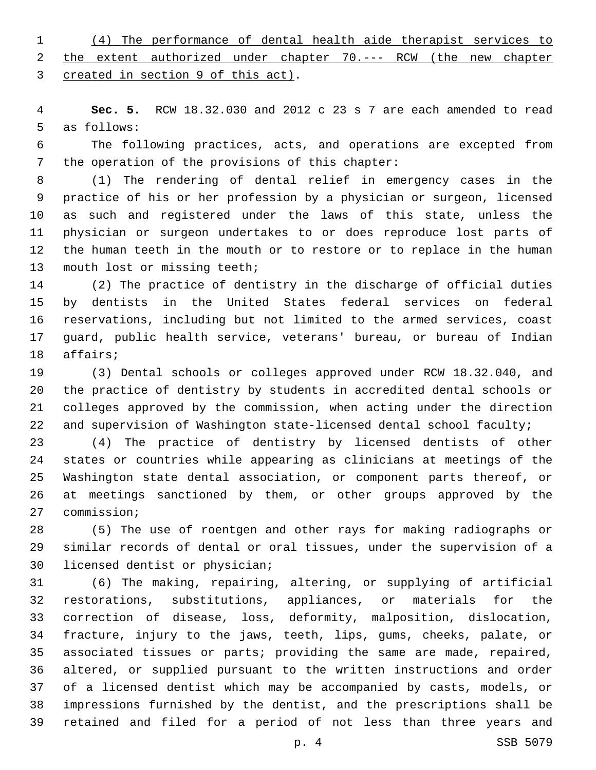(4) The performance of dental health aide therapist services to the extent authorized under chapter 70.--- RCW (the new chapter 3 created in section 9 of this act).

 **Sec. 5.** RCW 18.32.030 and 2012 c 23 s 7 are each amended to read 5 as follows:

 The following practices, acts, and operations are excepted from 7 the operation of the provisions of this chapter:

 (1) The rendering of dental relief in emergency cases in the practice of his or her profession by a physician or surgeon, licensed as such and registered under the laws of this state, unless the physician or surgeon undertakes to or does reproduce lost parts of the human teeth in the mouth or to restore or to replace in the human 13 mouth lost or missing teeth;

 (2) The practice of dentistry in the discharge of official duties by dentists in the United States federal services on federal reservations, including but not limited to the armed services, coast guard, public health service, veterans' bureau, or bureau of Indian 18 affairs;

 (3) Dental schools or colleges approved under RCW 18.32.040, and the practice of dentistry by students in accredited dental schools or colleges approved by the commission, when acting under the direction and supervision of Washington state-licensed dental school faculty;

 (4) The practice of dentistry by licensed dentists of other states or countries while appearing as clinicians at meetings of the Washington state dental association, or component parts thereof, or at meetings sanctioned by them, or other groups approved by the 27 commission;

 (5) The use of roentgen and other rays for making radiographs or similar records of dental or oral tissues, under the supervision of a 30 licensed dentist or physician;

 (6) The making, repairing, altering, or supplying of artificial restorations, substitutions, appliances, or materials for the correction of disease, loss, deformity, malposition, dislocation, fracture, injury to the jaws, teeth, lips, gums, cheeks, palate, or associated tissues or parts; providing the same are made, repaired, altered, or supplied pursuant to the written instructions and order of a licensed dentist which may be accompanied by casts, models, or impressions furnished by the dentist, and the prescriptions shall be retained and filed for a period of not less than three years and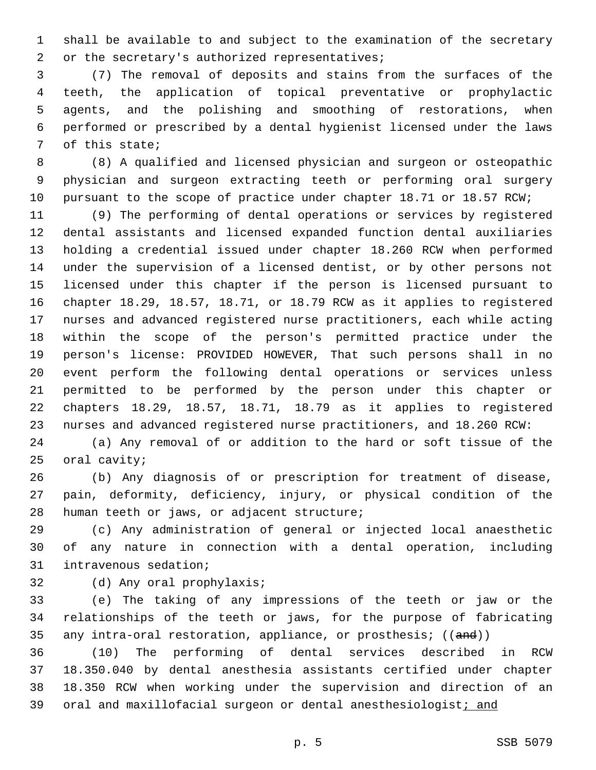shall be available to and subject to the examination of the secretary 2 or the secretary's authorized representatives;

 (7) The removal of deposits and stains from the surfaces of the teeth, the application of topical preventative or prophylactic agents, and the polishing and smoothing of restorations, when performed or prescribed by a dental hygienist licensed under the laws 7 of this state;

 (8) A qualified and licensed physician and surgeon or osteopathic physician and surgeon extracting teeth or performing oral surgery 10 pursuant to the scope of practice under chapter 18.71 or 18.57 RCW;

 (9) The performing of dental operations or services by registered dental assistants and licensed expanded function dental auxiliaries holding a credential issued under chapter 18.260 RCW when performed under the supervision of a licensed dentist, or by other persons not licensed under this chapter if the person is licensed pursuant to chapter 18.29, 18.57, 18.71, or 18.79 RCW as it applies to registered nurses and advanced registered nurse practitioners, each while acting within the scope of the person's permitted practice under the person's license: PROVIDED HOWEVER, That such persons shall in no event perform the following dental operations or services unless permitted to be performed by the person under this chapter or chapters 18.29, 18.57, 18.71, 18.79 as it applies to registered nurses and advanced registered nurse practitioners, and 18.260 RCW:

 (a) Any removal of or addition to the hard or soft tissue of the oral cavity;

 (b) Any diagnosis of or prescription for treatment of disease, pain, deformity, deficiency, injury, or physical condition of the 28 human teeth or jaws, or adjacent structure;

 (c) Any administration of general or injected local anaesthetic of any nature in connection with a dental operation, including 31 intravenous sedation;

32 (d) Any oral prophylaxis;

 (e) The taking of any impressions of the teeth or jaw or the relationships of the teeth or jaws, for the purpose of fabricating 35 any intra-oral restoration, appliance, or prosthesis; ((and))

 (10) The performing of dental services described in RCW 18.350.040 by dental anesthesia assistants certified under chapter 18.350 RCW when working under the supervision and direction of an 39 oral and maxillofacial surgeon or dental anesthesiologist; and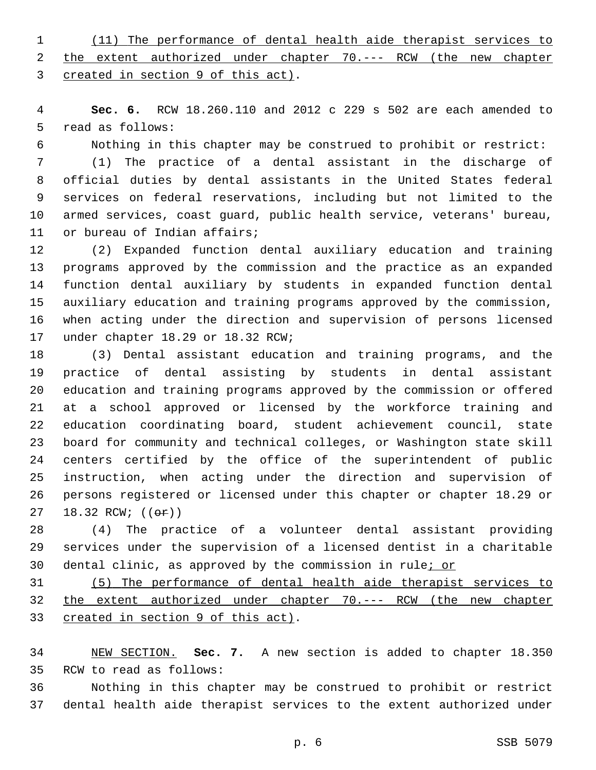(11) The performance of dental health aide therapist services to the extent authorized under chapter 70.--- RCW (the new chapter 3 created in section 9 of this act).

 **Sec. 6.** RCW 18.260.110 and 2012 c 229 s 502 are each amended to 5 read as follows:

Nothing in this chapter may be construed to prohibit or restrict:

 (1) The practice of a dental assistant in the discharge of official duties by dental assistants in the United States federal services on federal reservations, including but not limited to the armed services, coast guard, public health service, veterans' bureau, 11 or bureau of Indian affairs;

 (2) Expanded function dental auxiliary education and training programs approved by the commission and the practice as an expanded function dental auxiliary by students in expanded function dental auxiliary education and training programs approved by the commission, when acting under the direction and supervision of persons licensed 17 under chapter 18.29 or 18.32 RCW;

 (3) Dental assistant education and training programs, and the practice of dental assisting by students in dental assistant education and training programs approved by the commission or offered at a school approved or licensed by the workforce training and education coordinating board, student achievement council, state board for community and technical colleges, or Washington state skill centers certified by the office of the superintendent of public instruction, when acting under the direction and supervision of persons registered or licensed under this chapter or chapter 18.29 or 27 18.32 RCW; (( $\Theta$ ))

 (4) The practice of a volunteer dental assistant providing services under the supervision of a licensed dentist in a charitable dental clinic, as approved by the commission in rule; or

 (5) The performance of dental health aide therapist services to the extent authorized under chapter 70.--- RCW (the new chapter 33 created in section 9 of this act).

 NEW SECTION. **Sec. 7.** A new section is added to chapter 18.350 35 RCW to read as follows:

 Nothing in this chapter may be construed to prohibit or restrict dental health aide therapist services to the extent authorized under

p. 6 SSB 5079